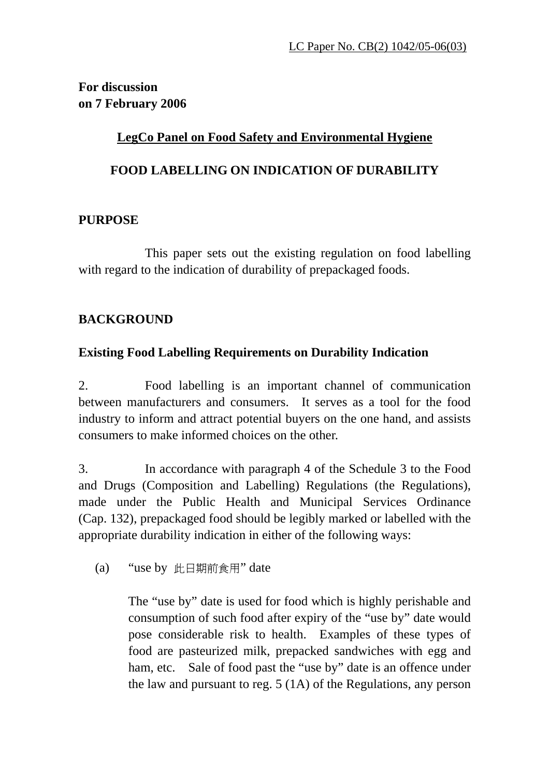**For discussion on 7 February 2006**

## **LegCo Panel on Food Safety and Environmental Hygiene**

#### **FOOD LABELLING ON INDICATION OF DURABILITY**

#### **PURPOSE**

This paper sets out the existing regulation on food labelling with regard to the indication of durability of prepackaged foods.

## **BACKGROUND**

## **Existing Food Labelling Requirements on Durability Indication**

2. Food labelling is an important channel of communication between manufacturers and consumers. It serves as a tool for the food industry to inform and attract potential buyers on the one hand, and assists consumers to make informed choices on the other.

3. In accordance with paragraph 4 of the Schedule 3 to the Food and Drugs (Composition and Labelling) Regulations (the Regulations), made under the Public Health and Municipal Services Ordinance (Cap. 132), prepackaged food should be legibly marked or labelled with the appropriate durability indication in either of the following ways:

(a) "use by 此日期前食用" date

The "use by" date is used for food which is highly perishable and consumption of such food after expiry of the "use by" date would pose considerable risk to health. Examples of these types of food are pasteurized milk, prepacked sandwiches with egg and ham, etc. Sale of food past the "use by" date is an offence under the law and pursuant to reg. 5 (1A) of the Regulations, any person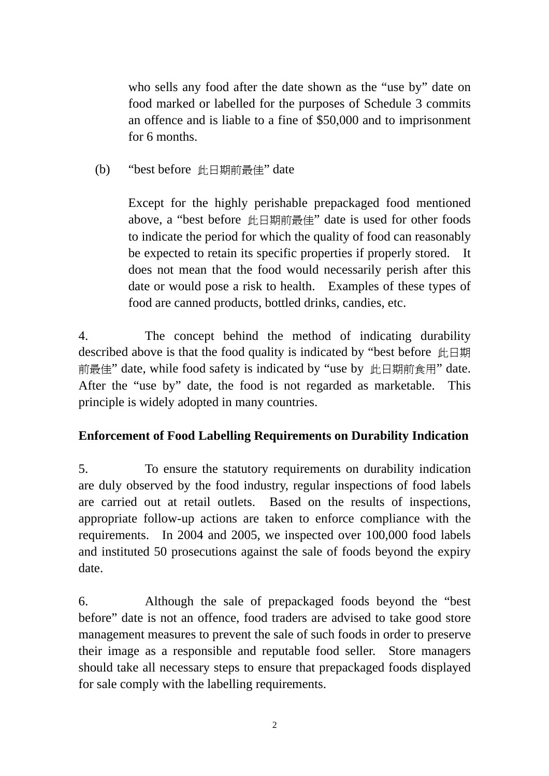who sells any food after the date shown as the "use by" date on food marked or labelled for the purposes of Schedule 3 commits an offence and is liable to a fine of \$50,000 and to imprisonment for 6 months.

(b) "best before 此日期前最佳" date

Except for the highly perishable prepackaged food mentioned above, a "best before 此日期前最佳" date is used for other foods to indicate the period for which the quality of food can reasonably be expected to retain its specific properties if properly stored. It does not mean that the food would necessarily perish after this date or would pose a risk to health. Examples of these types of food are canned products, bottled drinks, candies, etc.

4. The concept behind the method of indicating durability described above is that the food quality is indicated by "best before 此日期 前最佳" date, while food safety is indicated by "use by 此日期前食用" date. After the "use by" date, the food is not regarded as marketable. This principle is widely adopted in many countries.

# **Enforcement of Food Labelling Requirements on Durability Indication**

5. To ensure the statutory requirements on durability indication are duly observed by the food industry, regular inspections of food labels are carried out at retail outlets. Based on the results of inspections, appropriate follow-up actions are taken to enforce compliance with the requirements. In 2004 and 2005, we inspected over 100,000 food labels and instituted 50 prosecutions against the sale of foods beyond the expiry date.

6. Although the sale of prepackaged foods beyond the "best before" date is not an offence, food traders are advised to take good store management measures to prevent the sale of such foods in order to preserve their image as a responsible and reputable food seller. Store managers should take all necessary steps to ensure that prepackaged foods displayed for sale comply with the labelling requirements.